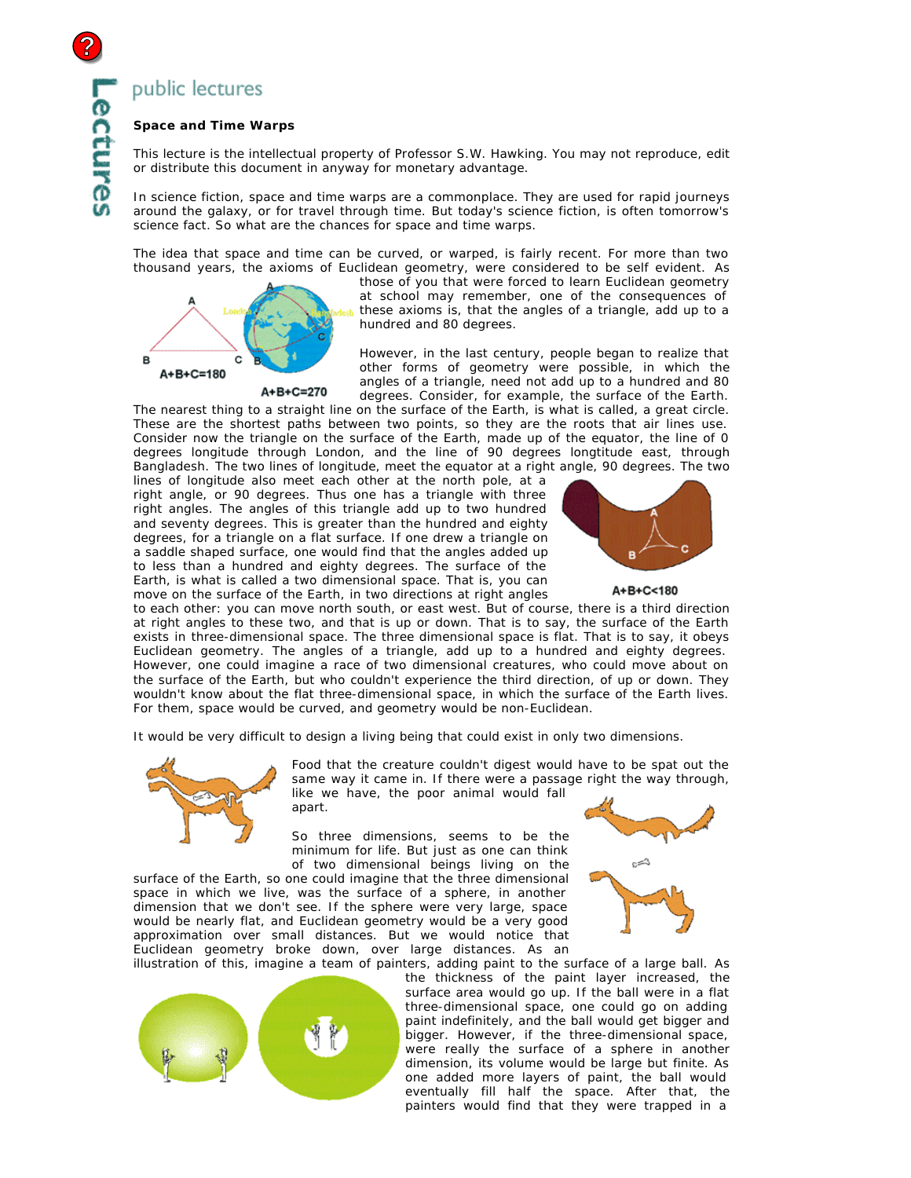# public lectures

## **Space and Time Warps**

This lecture is the intellectual property of Professor S.W. Hawking. You may not reproduce, edit or distribute this document in anyway for monetary advantage.

In science fiction, space and time warps are a commonplace. They are used for rapid journeys around the galaxy, or for travel through time. But today's science fiction, is often tomorrow's science fact. So what are the chances for space and time warps.

The idea that space and time can be curved, or warped, is fairly recent. For more than two thousand years, the axioms of Euclidean geometry, were considered to be self evident. As



those of you that were forced to learn Euclidean geometry at school may remember, one of the consequences of these axioms is, that the angles of a triangle, add up to a hundred and 80 degrees.

However, in the last century, people began to realize that other forms of geometry were possible, in which the angles of a triangle, need not add up to a hundred and 80 degrees. Consider, for example, the surface of the Earth.

The nearest thing to a straight line on the surface of the Earth, is what is called, a great circle. These are the shortest paths between two points, so they are the roots that air lines use. Consider now the triangle on the surface of the Earth, made up of the equator, the line of 0 degrees longitude through London, and the line of 90 degrees longtitude east, through Bangladesh. The two lines of longitude, meet the equator at a right angle, 90 degrees. The two

lines of longitude also meet each other at the north pole, at a right angle, or 90 degrees. Thus one has a triangle with three right angles. The angles of this triangle add up to two hundred and seventy degrees. This is greater than the hundred and eighty degrees, for a triangle on a flat surface. If one drew a triangle on a saddle shaped surface, one would find that the angles added up to less than a hundred and eighty degrees. The surface of the Earth, is what is called a two dimensional space. That is, you can move on the surface of the Earth, in two directions at right angles



A+B+C<180

یڪن

to each other: you can move north south, or east west. But of course, there is a third direction at right angles to these two, and that is up or down. That is to say, the surface of the Earth exists in three-dimensional space. The three dimensional space is flat. That is to say, it obeys Euclidean geometry. The angles of a triangle, add up to a hundred and eighty degrees. However, one could imagine a race of two dimensional creatures, who could move about on the surface of the Earth, but who couldn't experience the third direction, of up or down. They wouldn't know about the flat three-dimensional space, in which the surface of the Earth lives. For them, space would be curved, and geometry would be non-Euclidean.

It would be very difficult to design a living being that could exist in only two dimensions.



Food that the creature couldn't digest would have to be spat out the same way it came in. If there were a passage right the way through, like we have, the poor animal would fall apart.

So three dimensions, seems to be the minimum for life. But just as one can think of two dimensional beings living on the

surface of the Earth, so one could imagine that the three dimensional space in which we live, was the surface of a sphere, in another dimension that we don't see. If the sphere were very large, space would be nearly flat, and Euclidean geometry would be a very good approximation over small distances. But we would notice that Euclidean geometry broke down, over large distances. As an illustration of this, imagine a team of painters, adding paint to the surface of a large ball. As



the thickness of the paint layer increased, the surface area would go up. If the ball were in a flat three-dimensional space, one could go on adding paint indefinitely, and the ball would get bigger and bigger. However, if the three-dimensional space, were really the surface of a sphere in another dimension, its volume would be large but finite. As one added more layers of paint, the ball would eventually fill half the space. After that, the painters would find that they were trapped in a

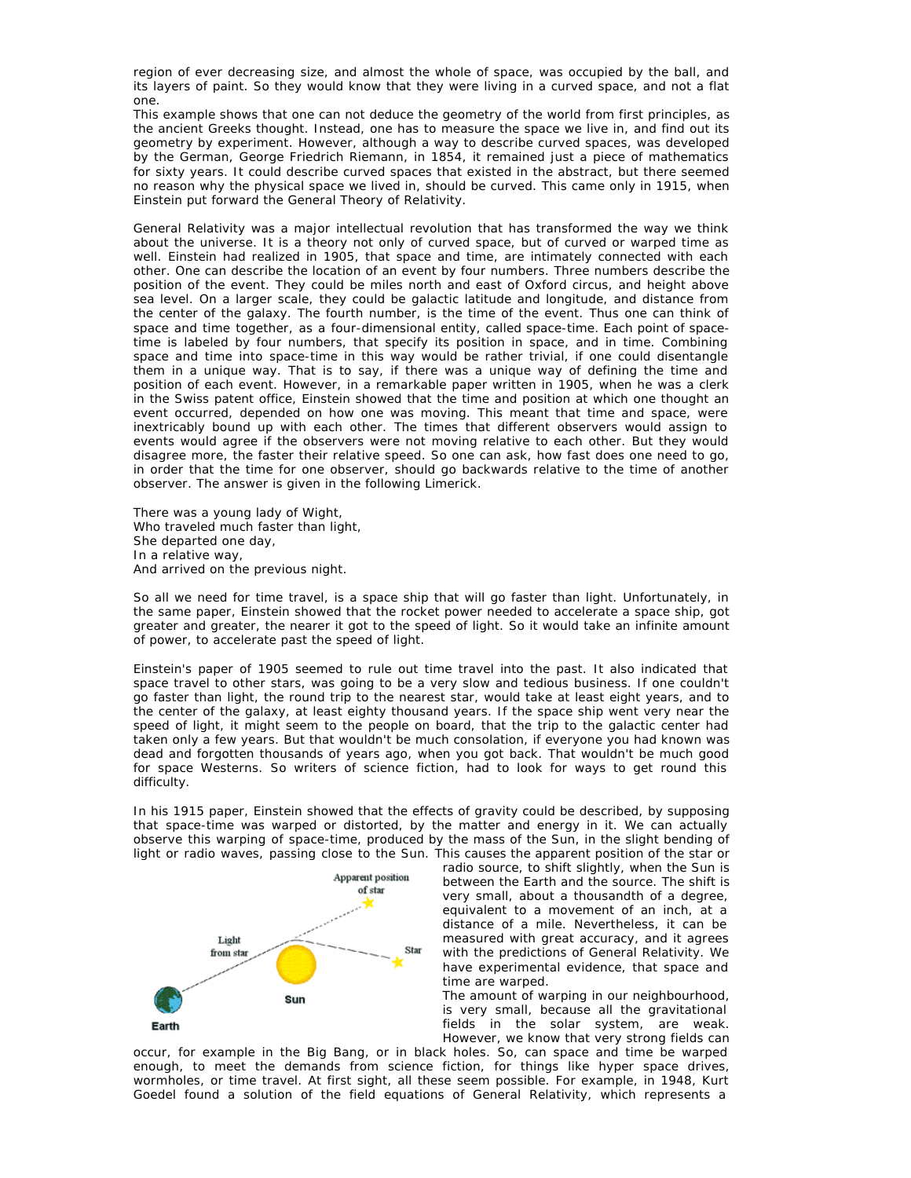region of ever decreasing size, and almost the whole of space, was occupied by the ball, and its layers of paint. So they would know that they were living in a curved space, and not a flat one.

This example shows that one can not deduce the geometry of the world from first principles, as the ancient Greeks thought. Instead, one has to measure the space we live in, and find out its geometry by experiment. However, although a way to describe curved spaces, was developed by the German, George Friedrich Riemann, in 1854, it remained just a piece of mathematics for sixty years. It could describe curved spaces that existed in the abstract, but there seemed no reason why the physical space we lived in, should be curved. This came only in 1915, when Einstein put forward the General Theory of Relativity.

General Relativity was a major intellectual revolution that has transformed the way we think about the universe. It is a theory not only of curved space, but of curved or warped time as well. Einstein had realized in 1905, that space and time, are intimately connected with each other. One can describe the location of an event by four numbers. Three numbers describe the position of the event. They could be miles north and east of Oxford circus, and height above sea level. On a larger scale, they could be galactic latitude and longitude, and distance from the center of the galaxy. The fourth number, is the time of the event. Thus one can think of space and time together, as a four-dimensional entity, called space-time. Each point of spacetime is labeled by four numbers, that specify its position in space, and in time. Combining space and time into space-time in this way would be rather trivial, if one could disentangle them in a unique way. That is to say, if there was a unique way of defining the time and position of each event. However, in a remarkable paper written in 1905, when he was a clerk in the Swiss patent office, Einstein showed that the time and position at which one thought an event occurred, depended on how one was moving. This meant that time and space, were inextricably bound up with each other. The times that different observers would assign to events would agree if the observers were not moving relative to each other. But they would disagree more, the faster their relative speed. So one can ask, how fast does one need to go, in order that the time for one observer, should go backwards relative to the time of another observer. The answer is given in the following Limerick.

There was a young lady of Wight, Who traveled much faster than light, She departed one day, In a relative way, And arrived on the previous night.

So all we need for time travel, is a space ship that will go faster than light. Unfortunately, in the same paper, Einstein showed that the rocket power needed to accelerate a space ship, got greater and greater, the nearer it got to the speed of light. So it would take an infinite amount of power, to accelerate past the speed of light.

Einstein's paper of 1905 seemed to rule out time travel into the past. It also indicated that space travel to other stars, was going to be a very slow and tedious business. If one couldn't go faster than light, the round trip to the nearest star, would take at least eight years, and to the center of the galaxy, at least eighty thousand years. If the space ship went very near the speed of light, it might seem to the people on board, that the trip to the galactic center had taken only a few years. But that wouldn't be much consolation, if everyone you had known was dead and forgotten thousands of years ago, when you got back. That wouldn't be much good for space Westerns. So writers of science fiction, had to look for ways to get round this difficulty.

In his 1915 paper, Einstein showed that the effects of gravity could be described, by supposing that space-time was warped or distorted, by the matter and energy in it. We can actually observe this warping of space-time, produced by the mass of the Sun, in the slight bending of light or radio waves, passing close to the Sun. This causes the apparent position of the star or



radio source, to shift slightly, when the Sun is between the Earth and the source. The shift is very small, about a thousandth of a degree, equivalent to a movement of an inch, at a distance of a mile. Nevertheless, it can be measured with great accuracy, and it agrees with the predictions of General Relativity. We have experimental evidence, that space and time are warped.

The amount of warping in our neighbourhood, is very small, because all the gravitational fields in the solar system, are weak. However, we know that very strong fields can

occur, for example in the Big Bang, or in black holes. So, can space and time be warped enough, to meet the demands from science fiction, for things like hyper space drives, wormholes, or time travel. At first sight, all these seem possible. For example, in 1948, Kurt Goedel found a solution of the field equations of General Relativity, which represents a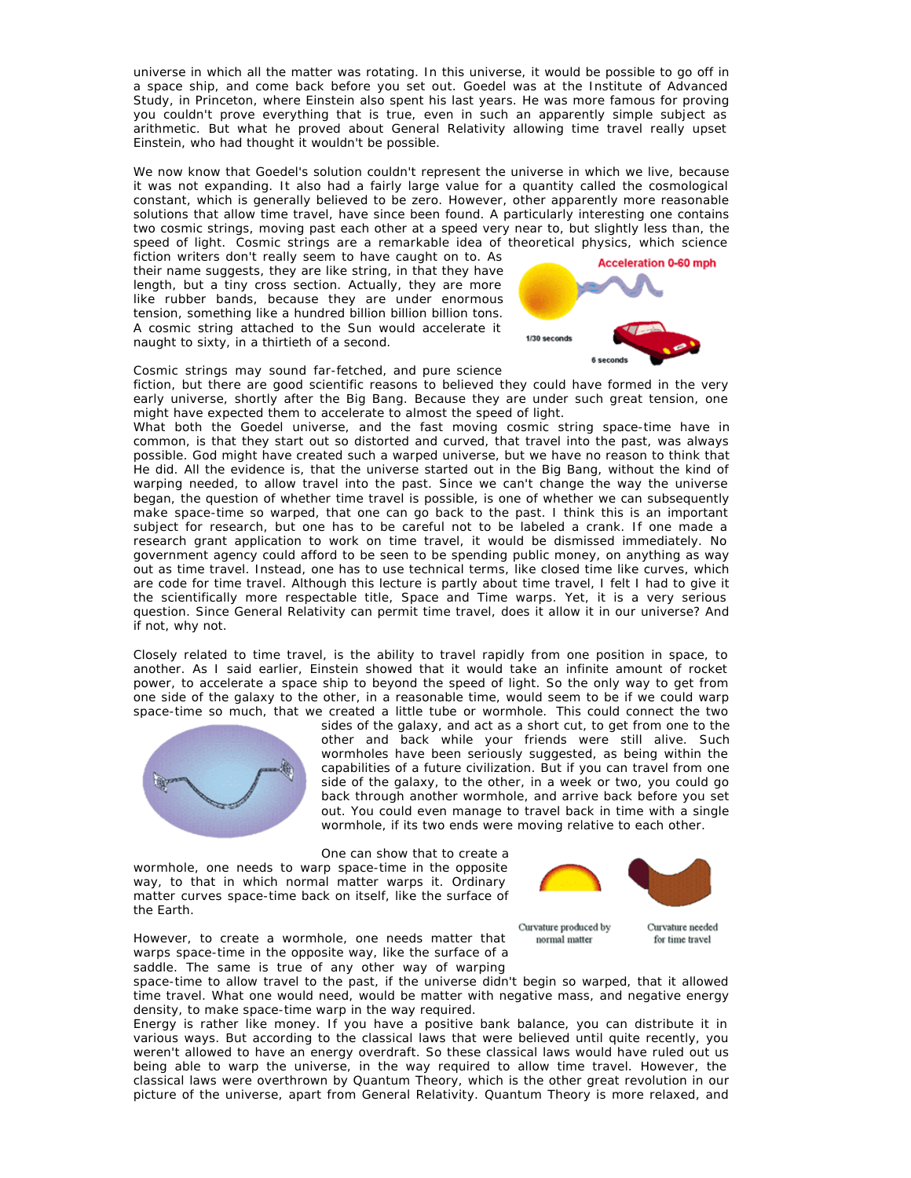universe in which all the matter was rotating. In this universe, it would be possible to go off in a space ship, and come back before you set out. Goedel was at the Institute of Advanced Study, in Princeton, where Einstein also spent his last years. He was more famous for proving you couldn't prove everything that is true, even in such an apparently simple subject as arithmetic. But what he proved about General Relativity allowing time travel really upset Einstein, who had thought it wouldn't be possible.

We now know that Goedel's solution couldn't represent the universe in which we live, because it was not expanding. It also had a fairly large value for a quantity called the cosmological constant, which is generally believed to be zero. However, other apparently more reasonable solutions that allow time travel, have since been found. A particularly interesting one contains two cosmic strings, moving past each other at a speed very near to, but slightly less than, the speed of light. Cosmic strings are a remarkable idea of theoretical physics, which science

fiction writers don't really seem to have caught on to. As their name suggests, they are like string, in that they have length, but a tiny cross section. Actually, they are more like rubber bands, because they are under enormous tension, something like a hundred billion billion billion tons. A cosmic string attached to the Sun would accelerate it naught to sixty, in a thirtieth of a second.



Cosmic strings may sound far-fetched, and pure science

fiction, but there are good scientific reasons to believed they could have formed in the very early universe, shortly after the Big Bang. Because they are under such great tension, one might have expected them to accelerate to almost the speed of light.

What both the Goedel universe, and the fast moving cosmic string space-time have in common, is that they start out so distorted and curved, that travel into the past, was always possible. God might have created such a warped universe, but we have no reason to think that He did. All the evidence is, that the universe started out in the Big Bang, without the kind of warping needed, to allow travel into the past. Since we can't change the way the universe began, the question of whether time travel is possible, is one of whether we can subsequently make space-time so warped, that one can go back to the past. I think this is an important subject for research, but one has to be careful not to be labeled a crank. If one made a research grant application to work on time travel, it would be dismissed immediately. No government agency could afford to be seen to be spending public money, on anything as way out as time travel. Instead, one has to use technical terms, like closed time like curves, which are code for time travel. Although this lecture is partly about time travel, I felt I had to give it the scientifically more respectable title, Space and Time warps. Yet, it is a very serious question. Since General Relativity can permit time travel, does it allow it in our universe? And if not, why not.

Closely related to time travel, is the ability to travel rapidly from one position in space, to another. As I said earlier, Einstein showed that it would take an infinite amount of rocket power, to accelerate a space ship to beyond the speed of light. So the only way to get from one side of the galaxy to the other, in a reasonable time, would seem to be if we could warp space-time so much, that we created a little tube or wormhole. This could connect the two



sides of the galaxy, and act as a short cut, to get from one to the other and back while your friends were still alive. Such wormholes have been seriously suggested, as being within the capabilities of a future civilization. But if you can travel from one side of the galaxy, to the other, in a week or two, you could go back through another wormhole, and arrive back before you set out. You could even manage to travel back in time with a single wormhole, if its two ends were moving relative to each other.

One can show that to create a wormhole, one needs to warp space-time in the opposite way, to that in which normal matter warps it. Ordinary matter curves space-time back on itself, like the surface of the Earth.



Curvature produced by normal matter

Curvature needed for time travel

However, to create a wormhole, one needs matter that warps space-time in the opposite way, like the surface of a saddle. The same is true of any other way of warping

space-time to allow travel to the past, if the universe didn't begin so warped, that it allowed time travel. What one would need, would be matter with negative mass, and negative energy density, to make space-time warp in the way required.

Energy is rather like money. If you have a positive bank balance, you can distribute it in various ways. But according to the classical laws that were believed until quite recently, you weren't allowed to have an energy overdraft. So these classical laws would have ruled out us being able to warp the universe, in the way required to allow time travel. However, the classical laws were overthrown by Quantum Theory, which is the other great revolution in our picture of the universe, apart from General Relativity. Quantum Theory is more relaxed, and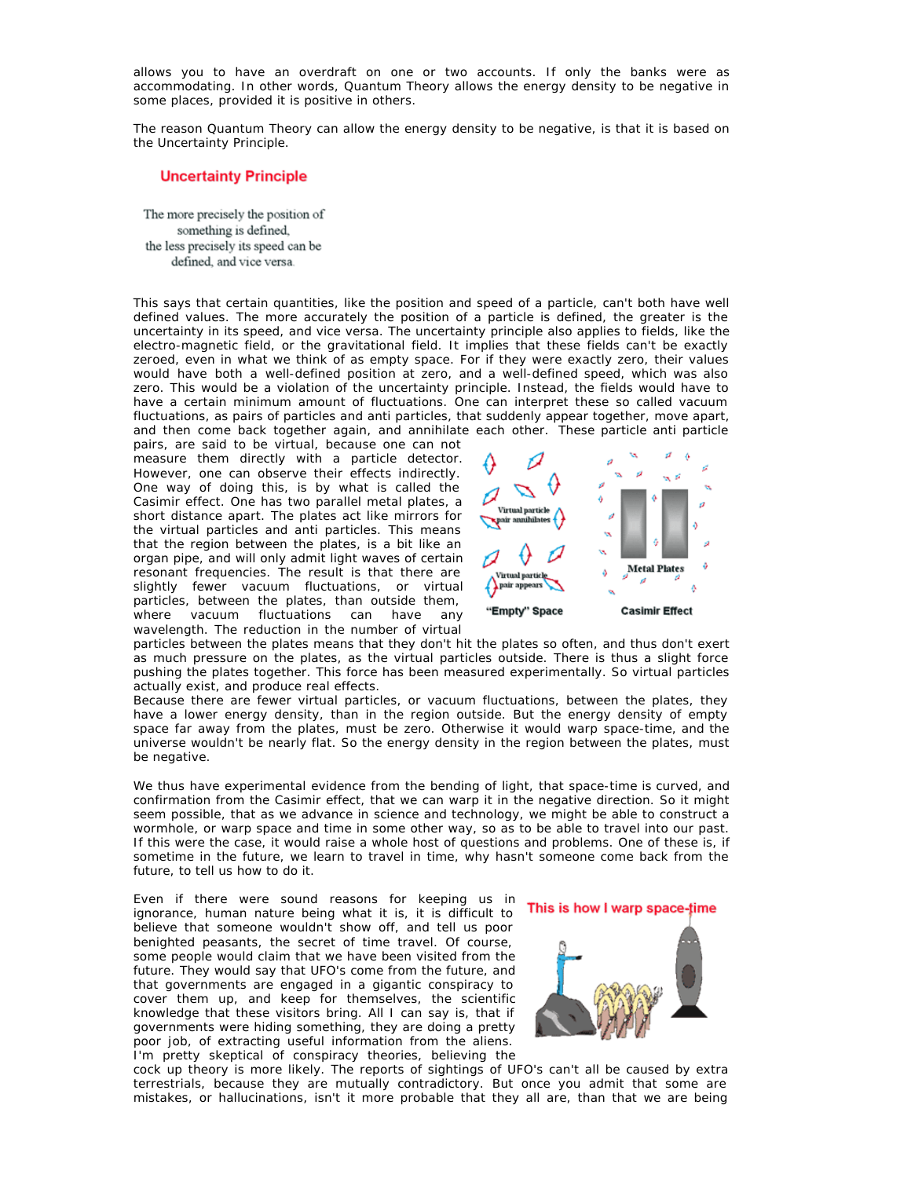allows you to have an overdraft on one or two accounts. If only the banks were as accommodating. In other words, Quantum Theory allows the energy density to be negative in some places, provided it is positive in others.

The reason Quantum Theory can allow the energy density to be negative, is that it is based on the Uncertainty Principle.

### **Uncertainty Principle**

The more precisely the position of something is defined, the less precisely its speed can be defined, and vice versa.

This says that certain quantities, like the position and speed of a particle, can't both have well defined values. The more accurately the position of a particle is defined, the greater is the uncertainty in its speed, and vice versa. The uncertainty principle also applies to fields, like the electro-magnetic field, or the gravitational field. It implies that these fields can't be exactly zeroed, even in what we think of as empty space. For if they were exactly zero, their values would have both a well-defined position at zero, and a well-defined speed, which was also zero. This would be a violation of the uncertainty principle. Instead, the fields would have to have a certain minimum amount of fluctuations. One can interpret these so called vacuum fluctuations, as pairs of particles and anti particles, that suddenly appear together, move apart, and then come back together again, and annihilate each other. These particle anti particle

pairs, are said to be virtual, because one can not measure them directly with a particle detector. However, one can observe their effects indirectly. One way of doing this, is by what is called the Casimir effect. One has two parallel metal plates, a short distance apart. The plates act like mirrors for the virtual particles and anti particles. This means that the region between the plates, is a bit like an organ pipe, and will only admit light waves of certain resonant frequencies. The result is that there are slightly fewer vacuum fluctuations, or virtual particles, between the plates, than outside them, where vacuum fluctuations can have any wavelength. The reduction in the number of virtual



particles between the plates means that they don't hit the plates so often, and thus don't exert as much pressure on the plates, as the virtual particles outside. There is thus a slight force pushing the plates together. This force has been measured experimentally. So virtual particles actually exist, and produce real effects.

Because there are fewer virtual particles, or vacuum fluctuations, between the plates, they have a lower energy density, than in the region outside. But the energy density of empty space far away from the plates, must be zero. Otherwise it would warp space-time, and the universe wouldn't be nearly flat. So the energy density in the region between the plates, must be negative.

We thus have experimental evidence from the bending of light, that space-time is curved, and confirmation from the Casimir effect, that we can warp it in the negative direction. So it might seem possible, that as we advance in science and technology, we might be able to construct a wormhole, or warp space and time in some other way, so as to be able to travel into our past. If this were the case, it would raise a whole host of questions and problems. One of these is, if sometime in the future, we learn to travel in time, why hasn't someone come back from the future, to tell us how to do it.

Even if there were sound reasons for keeping us in ignorance, human nature being what it is, it is difficult to believe that someone wouldn't show off, and tell us poor benighted peasants, the secret of time travel. Of course, some people would claim that we have been visited from the future. They would say that UFO's come from the future, and that governments are engaged in a gigantic conspiracy to cover them up, and keep for themselves, the scientific knowledge that these visitors bring. All I can say is, that if governments were hiding something, they are doing a pretty poor job, of extracting useful information from the aliens. I'm pretty skeptical of conspiracy theories, believing the



cock up theory is more likely. The reports of sightings of UFO's can't all be caused by extra terrestrials, because they are mutually contradictory. But once you admit that some are mistakes, or hallucinations, isn't it more probable that they all are, than that we are being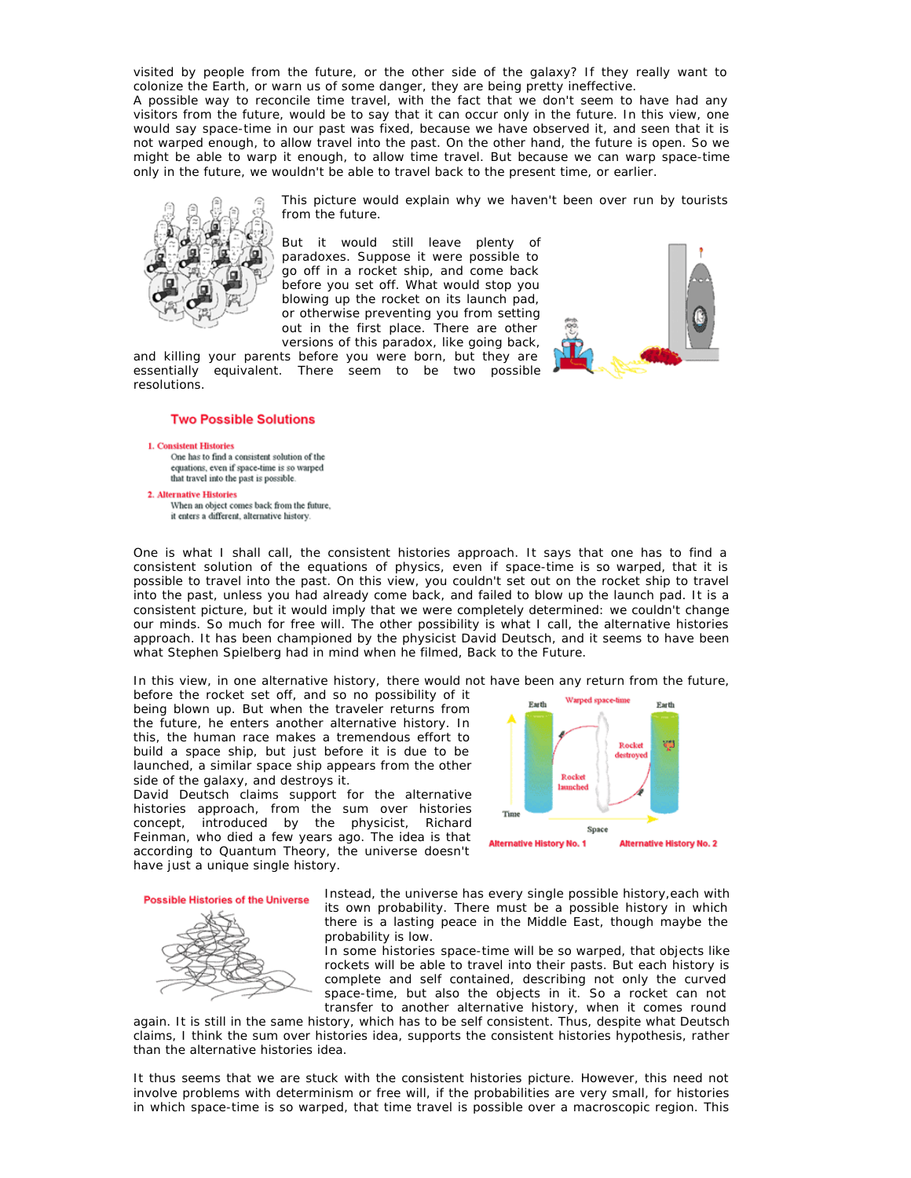visited by people from the future, or the other side of the galaxy? If they really want to colonize the Earth, or warn us of some danger, they are being pretty ineffective.

A possible way to reconcile time travel, with the fact that we don't seem to have had any visitors from the future, would be to say that it can occur only in the future. In this view, one would say space-time in our past was fixed, because we have observed it, and seen that it is not warped enough, to allow travel into the past. On the other hand, the future is open. So we might be able to warp it enough, to allow time travel. But because we can warp space-time only in the future, we wouldn't be able to travel back to the present time, or earlier.



This picture would explain why we haven't been over run by tourists from the future.

But it would still leave plenty of paradoxes. Suppose it were possible to go off in a rocket ship, and come back before you set off. What would stop you blowing up the rocket on its launch pad, or otherwise preventing you from setting out in the first place. There are other

versions of this paradox, like going back, and killing your parents before you were born, but they are essentially equivalent. There seem to be two possible resolutions.

#### **Two Possible Solutions**

#### 1. Consistent Histories

One has to find a consistent solution of the equations, even if space-time is so warped that travel into the past is possible.

2. Alternative Histories When an object comes back from the future, it enters a different, alternative history.

One is what I shall call, the consistent histories approach. It says that one has to find a consistent solution of the equations of physics, even if space-time is so warped, that it is possible to travel into the past. On this view, you couldn't set out on the rocket ship to travel into the past, unless you had already come back, and failed to blow up the launch pad. It is a consistent picture, but it would imply that we were completely determined: we couldn't change our minds. So much for free will. The other possibility is what I call, the alternative histories approach. It has been championed by the physicist David Deutsch, and it seems to have been what Stephen Spielberg had in mind when he filmed, Back to the Future.

In this view, in one alternative history, there would not have been any return from the future,

before the rocket set off, and so no possibility of it being blown up. But when the traveler returns from the future, he enters another alternative history. In this, the human race makes a tremendous effort to build a space ship, but just before it is due to be launched, a similar space ship appears from the other side of the galaxy, and destroys it.

David Deutsch claims support for the alternative histories approach, from the sum over histories concept, introduced by the physicist, Richard Feinman, who died a few years ago. The idea is that according to Quantum Theory, the universe doesn't have just a unique single history.



**Possible Histories of the Universe** 



Instead, the universe has every single possible history,each with its own probability. There must be a possible history in which there is a lasting peace in the Middle East, though maybe the probability is low.

In some histories space-time will be so warped, that objects like rockets will be able to travel into their pasts. But each history is complete and self contained, describing not only the curved space-time, but also the objects in it. So a rocket can not transfer to another alternative history, when it comes round

again. It is still in the same history, which has to be self consistent. Thus, despite what Deutsch claims, I think the sum over histories idea, supports the consistent histories hypothesis, rather than the alternative histories idea.

It thus seems that we are stuck with the consistent histories picture. However, this need not involve problems with determinism or free will, if the probabilities are very small, for histories in which space-time is so warped, that time travel is possible over a macroscopic region. This